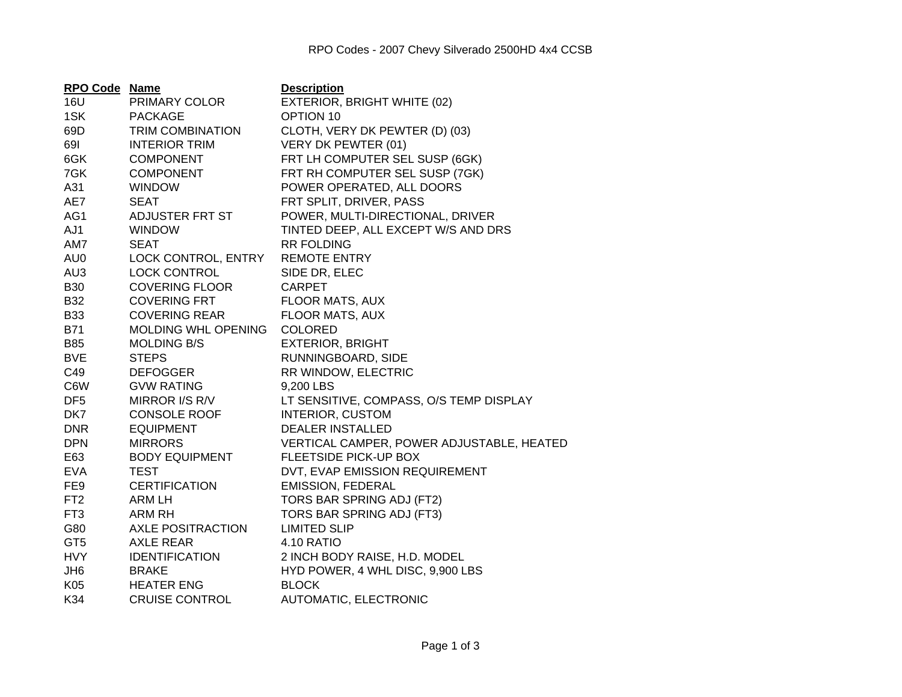| RPO Code Name   |                            | <b>Description</b>                        |
|-----------------|----------------------------|-------------------------------------------|
| 16U             | PRIMARY COLOR              | EXTERIOR, BRIGHT WHITE (02)               |
| 1SK             | <b>PACKAGE</b>             | OPTION 10                                 |
| 69D             | <b>TRIM COMBINATION</b>    | CLOTH, VERY DK PEWTER (D) (03)            |
| 691             | <b>INTERIOR TRIM</b>       | VERY DK PEWTER (01)                       |
| 6GK             | <b>COMPONENT</b>           | FRT LH COMPUTER SEL SUSP (6GK)            |
| 7GK             | <b>COMPONENT</b>           | FRT RH COMPUTER SEL SUSP (7GK)            |
| A31             | <b>WINDOW</b>              | POWER OPERATED, ALL DOORS                 |
| AE7             | <b>SEAT</b>                | FRT SPLIT, DRIVER, PASS                   |
| AG1             | ADJUSTER FRT ST            | POWER, MULTI-DIRECTIONAL, DRIVER          |
| AJ1             | <b>WINDOW</b>              | TINTED DEEP, ALL EXCEPT W/S AND DRS       |
| AM7             | <b>SEAT</b>                | <b>RR FOLDING</b>                         |
| AU0             | LOCK CONTROL, ENTRY        | <b>REMOTE ENTRY</b>                       |
| AU3             | LOCK CONTROL               | SIDE DR, ELEC                             |
| <b>B30</b>      | <b>COVERING FLOOR</b>      | <b>CARPET</b>                             |
| <b>B32</b>      | <b>COVERING FRT</b>        | FLOOR MATS, AUX                           |
| <b>B33</b>      | <b>COVERING REAR</b>       | FLOOR MATS, AUX                           |
| <b>B71</b>      | <b>MOLDING WHL OPENING</b> | <b>COLORED</b>                            |
| <b>B85</b>      | <b>MOLDING B/S</b>         | <b>EXTERIOR, BRIGHT</b>                   |
| <b>BVE</b>      | <b>STEPS</b>               | RUNNINGBOARD, SIDE                        |
| C49             | <b>DEFOGGER</b>            | RR WINDOW, ELECTRIC                       |
| C6W             | <b>GVW RATING</b>          | 9,200 LBS                                 |
| DF <sub>5</sub> | MIRROR I/S R/V             | LT SENSITIVE, COMPASS, O/S TEMP DISPLAY   |
| DK7             | <b>CONSOLE ROOF</b>        | <b>INTERIOR, CUSTOM</b>                   |
| <b>DNR</b>      | <b>EQUIPMENT</b>           | <b>DEALER INSTALLED</b>                   |
| <b>DPN</b>      | <b>MIRRORS</b>             | VERTICAL CAMPER, POWER ADJUSTABLE, HEATED |
| E63             | <b>BODY EQUIPMENT</b>      | FLEETSIDE PICK-UP BOX                     |
| <b>EVA</b>      | <b>TEST</b>                | DVT, EVAP EMISSION REQUIREMENT            |
| FE9             | <b>CERTIFICATION</b>       | <b>EMISSION, FEDERAL</b>                  |
| FT <sub>2</sub> | ARM LH                     | TORS BAR SPRING ADJ (FT2)                 |
| FT3             | ARM RH                     | TORS BAR SPRING ADJ (FT3)                 |
| G80             | <b>AXLE POSITRACTION</b>   | <b>LIMITED SLIP</b>                       |
| GT <sub>5</sub> | <b>AXLE REAR</b>           | 4.10 RATIO                                |
| <b>HVY</b>      | <b>IDENTIFICATION</b>      | 2 INCH BODY RAISE, H.D. MODEL             |
| JH <sub>6</sub> | <b>BRAKE</b>               | HYD POWER, 4 WHL DISC, 9,900 LBS          |
| K05             | <b>HEATER ENG</b>          | <b>BLOCK</b>                              |
| K34             | <b>CRUISE CONTROL</b>      | AUTOMATIC, ELECTRONIC                     |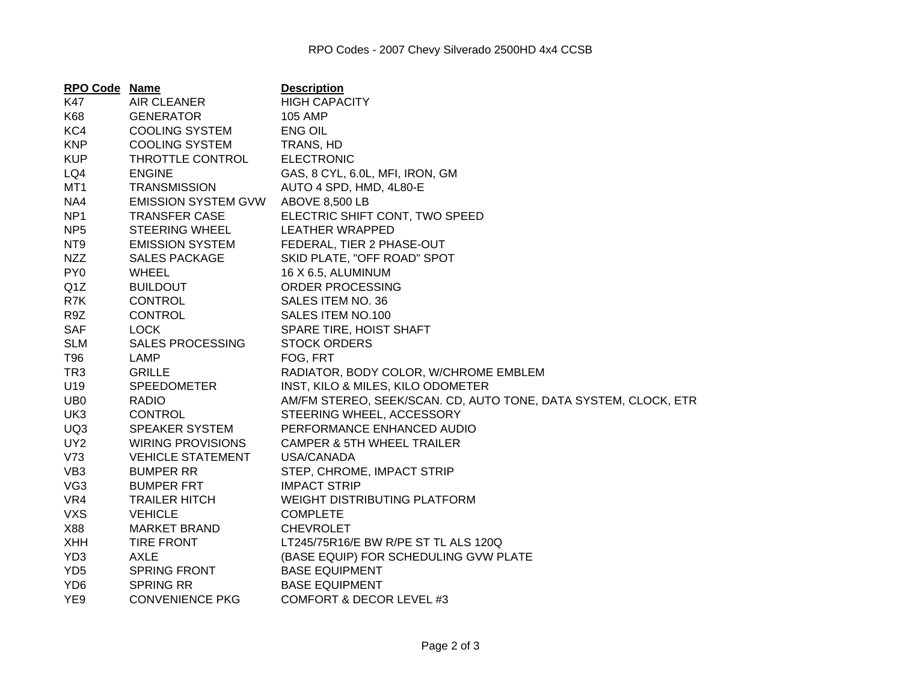| <b>RPO Code Name</b> |                            | <b>Description</b>                                              |
|----------------------|----------------------------|-----------------------------------------------------------------|
| K47                  | AIR CLEANER                | <b>HIGH CAPACITY</b>                                            |
| K68                  | <b>GENERATOR</b>           | <b>105 AMP</b>                                                  |
| KC4                  | <b>COOLING SYSTEM</b>      | <b>ENG OIL</b>                                                  |
| <b>KNP</b>           | <b>COOLING SYSTEM</b>      | TRANS, HD                                                       |
| <b>KUP</b>           | THROTTLE CONTROL           | <b>ELECTRONIC</b>                                               |
| LQ4                  | <b>ENGINE</b>              | GAS, 8 CYL, 6.0L, MFI, IRON, GM                                 |
| MT <sub>1</sub>      | <b>TRANSMISSION</b>        | AUTO 4 SPD, HMD, 4L80-E                                         |
| NA4                  | <b>EMISSION SYSTEM GVW</b> | <b>ABOVE 8,500 LB</b>                                           |
| NP <sub>1</sub>      | <b>TRANSFER CASE</b>       | ELECTRIC SHIFT CONT, TWO SPEED                                  |
| NP <sub>5</sub>      | <b>STEERING WHEEL</b>      | LEATHER WRAPPED                                                 |
| NT <sub>9</sub>      | <b>EMISSION SYSTEM</b>     | FEDERAL, TIER 2 PHASE-OUT                                       |
| <b>NZZ</b>           | <b>SALES PACKAGE</b>       | SKID PLATE, "OFF ROAD" SPOT                                     |
| PY <sub>0</sub>      | <b>WHEEL</b>               | 16 X 6.5, ALUMINUM                                              |
| Q <sub>1</sub> Z     | <b>BUILDOUT</b>            | ORDER PROCESSING                                                |
| R7K                  | <b>CONTROL</b>             | SALES ITEM NO. 36                                               |
| R9Z                  | <b>CONTROL</b>             | SALES ITEM NO.100                                               |
| <b>SAF</b>           | <b>LOCK</b>                | SPARE TIRE, HOIST SHAFT                                         |
| <b>SLM</b>           | <b>SALES PROCESSING</b>    | <b>STOCK ORDERS</b>                                             |
| T96                  | LAMP                       | FOG, FRT                                                        |
| TR <sub>3</sub>      | <b>GRILLE</b>              | RADIATOR, BODY COLOR, W/CHROME EMBLEM                           |
| U19                  | <b>SPEEDOMETER</b>         | INST, KILO & MILES, KILO ODOMETER                               |
| UB <sub>0</sub>      | <b>RADIO</b>               | AM/FM STEREO, SEEK/SCAN. CD, AUTO TONE, DATA SYSTEM, CLOCK, ETR |
| UK3                  | <b>CONTROL</b>             | STEERING WHEEL, ACCESSORY                                       |
| UQ3                  | <b>SPEAKER SYSTEM</b>      | PERFORMANCE ENHANCED AUDIO                                      |
| UY <sub>2</sub>      | <b>WIRING PROVISIONS</b>   | <b>CAMPER &amp; 5TH WHEEL TRAILER</b>                           |
| V73                  | <b>VEHICLE STATEMENT</b>   | USA/CANADA                                                      |
| VB <sub>3</sub>      | <b>BUMPER RR</b>           | STEP, CHROME, IMPACT STRIP                                      |
| VG <sub>3</sub>      | <b>BUMPER FRT</b>          | <b>IMPACT STRIP</b>                                             |
| VR4                  | <b>TRAILER HITCH</b>       | <b>WEIGHT DISTRIBUTING PLATFORM</b>                             |
| <b>VXS</b>           | <b>VEHICLE</b>             | <b>COMPLETE</b>                                                 |
| X88                  | <b>MARKET BRAND</b>        | <b>CHEVROLET</b>                                                |
| <b>XHH</b>           | <b>TIRE FRONT</b>          | LT245/75R16/E BW R/PE ST TL ALS 120Q                            |
| YD <sub>3</sub>      | AXLE                       | (BASE EQUIP) FOR SCHEDULING GVW PLATE                           |
| YD <sub>5</sub>      | SPRING FRONT               | <b>BASE EQUIPMENT</b>                                           |
| YD <sub>6</sub>      | <b>SPRING RR</b>           | <b>BASE EQUIPMENT</b>                                           |
| YE9                  | <b>CONVENIENCE PKG</b>     | COMFORT & DECOR LEVEL #3                                        |